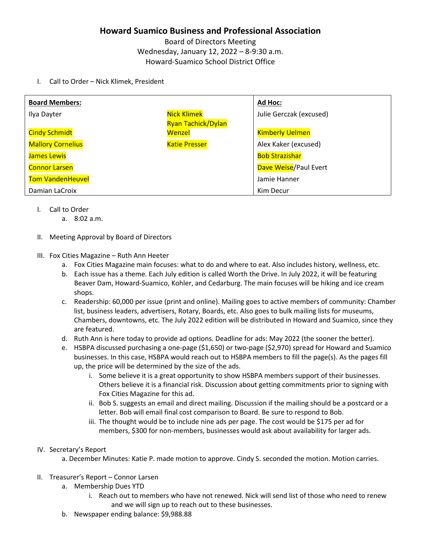## **Howard Suamico Business and Professional Association**

Board of Directors Meeting Wednesday, January 12, 2022 – 8-9:30 a.m. Howard-Suamico School District Office

I. Call to Order – Nick Klimek, President

| <b>Board Members:</b>    |                           | Ad Hoc:                 |
|--------------------------|---------------------------|-------------------------|
| Ilya Dayter              | <b>Nick Klimek</b>        | Julie Gerczak (excused) |
|                          | <b>Ryan Tachick/Dylan</b> |                         |
| <b>Cindy Schmidt</b>     | Wenzel                    | <b>Kimberly Uelmen</b>  |
| <b>Mallory Cornelius</b> | <b>Katie Presser</b>      | Alex Kaker (excused)    |
| James Lewis              |                           | <b>Bob Strazishar</b>   |
| <b>Connor Larsen</b>     |                           | Dave Weise/Paul Evert   |
| <b>Tom VandenHeuvel</b>  |                           | Jamie Hanner            |
| Damian LaCroix           |                           | Kim Decur               |

- I. Call to Order
	- a. 8:02 a.m.
- II. Meeting Approval by Board of Directors
- III. Fox Cities Magazine Ruth Ann Heeter
	- a. Fox Cities Magazine main focuses: what to do and where to eat. Also includes history, wellness, etc.
	- b. Each issue has a theme. Each July edition is called Worth the Drive. In July 2022, it will be featuring Beaver Dam, Howard-Suamico, Kohler, and Cedarburg. The main focuses will be hiking and ice cream shops.
	- c. Readership: 60,000 per issue (print and online). Mailing goes to active members of community: Chamber list, business leaders, advertisers, Rotary, Boards, etc. Also goes to bulk mailing lists for museums, Chambers, downtowns, etc. The July 2022 edition will be distributed in Howard and Suamico, since they are featured.
	- d. Ruth Ann is here today to provide ad options. Deadline for ads: May 2022 (the sooner the better).
	- e. HSBPA discussed purchasing a one-page (\$1,650) or two-page (\$2,970) spread for Howard and Suamico businesses. In this case, HSBPA would reach out to HSBPA members to fill the page(s). As the pages fill up, the price will be determined by the size of the ads.
		- i. Some believe it is a great opportunity to show HSBPA members support of their businesses. Others believe it is a financial risk. Discussion about getting commitments prior to signing with Fox Cities Magazine for this ad.
		- ii. Bob S. suggests an email and direct mailing. Discussion if the mailing should be a postcard or a letter. Bob will email final cost comparison to Board. Be sure to respond to Bob.
		- iii. The thought would be to include nine ads per page. The cost would be \$175 per ad for members, \$300 for non-members, businesses would ask about availability for larger ads.
- IV. Secretary's Report
	- a. December Minutes: Katie P. made motion to approve. Cindy S. seconded the motion. Motion carries.
- II. Treasurer's Report Connor Larsen
	- a. Membership Dues YTD
		- i. Reach out to members who have not renewed. Nick will send list of those who need to renew and we will sign up to reach out to these businesses.
	- b. Newspaper ending balance: \$9,988.88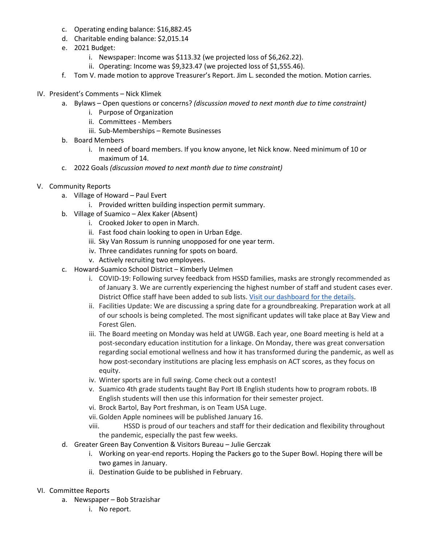- c. Operating ending balance: \$16,882.45
- d. Charitable ending balance: \$2,015.14
- e. 2021 Budget:
	- i. Newspaper: Income was \$113.32 (we projected loss of \$6,262.22).
	- ii. Operating: Income was \$9,323.47 (we projected loss of \$1,555.46).
- f. Tom V. made motion to approve Treasurer's Report. Jim L. seconded the motion. Motion carries.
- IV. President's Comments Nick Klimek
	- a. Bylaws Open questions or concerns? *(discussion moved to next month due to time constraint)*
		- i. Purpose of Organization
		- ii. Committees Members
		- iii. Sub-Memberships Remote Businesses
	- b. Board Members
		- i. In need of board members. If you know anyone, let Nick know. Need minimum of 10 or maximum of 14.
	- c. 2022 Goals *(discussion moved to next month due to time constraint)*
- V. Community Reports
	- a. Village of Howard Paul Evert
		- i. Provided written building inspection permit summary.
	- b. Village of Suamico Alex Kaker (Absent)
		- i. Crooked Joker to open in March.
		- ii. Fast food chain looking to open in Urban Edge.
		- iii. Sky Van Rossum is running unopposed for one year term.
		- iv. Three candidates running for spots on board.
		- v. Actively recruiting two employees.
	- c. Howard-Suamico School District Kimberly Uelmen
		- i. COVID-19: Following survey feedback from HSSD families, masks are strongly recommended as of January 3. We are currently experiencing the highest number of staff and student cases ever. District Office staff have been added to sub lists. Visit our [dashboard](https://www.hssdschools.org/community/covid19/dashboard) for the details.
		- ii. Facilities Update: We are discussing a spring date for a groundbreaking. Preparation work at all of our schools is being completed. The most significant updates will take place at Bay View and Forest Glen.
		- iii. The Board meeting on Monday was held at UWGB. Each year, one Board meeting is held at a post-secondary education institution for a linkage. On Monday, there was great conversation regarding social emotional wellness and how it has transformed during the pandemic, as well as how post-secondary institutions are placing less emphasis on ACT scores, as they focus on equity.
		- iv. Winter sports are in full swing. Come check out a contest!
		- v. Suamico 4th grade students taught Bay Port IB English students how to program robots. IB English students will then use this information for their semester project.
		- vi. Brock Bartol, Bay Port freshman, is on Team USA Luge.
		- vii. Golden Apple nominees will be published January 16.
		- viii. HSSD is proud of our teachers and staff for their dedication and flexibility throughout the pandemic, especially the past few weeks.
	- d. Greater Green Bay Convention & Visitors Bureau Julie Gerczak
		- i. Working on year-end reports. Hoping the Packers go to the Super Bowl. Hoping there will be two games in January.
		- ii. Destination Guide to be published in February.
- VI. Committee Reports
	- a. Newspaper Bob Strazishar
		- i. No report.